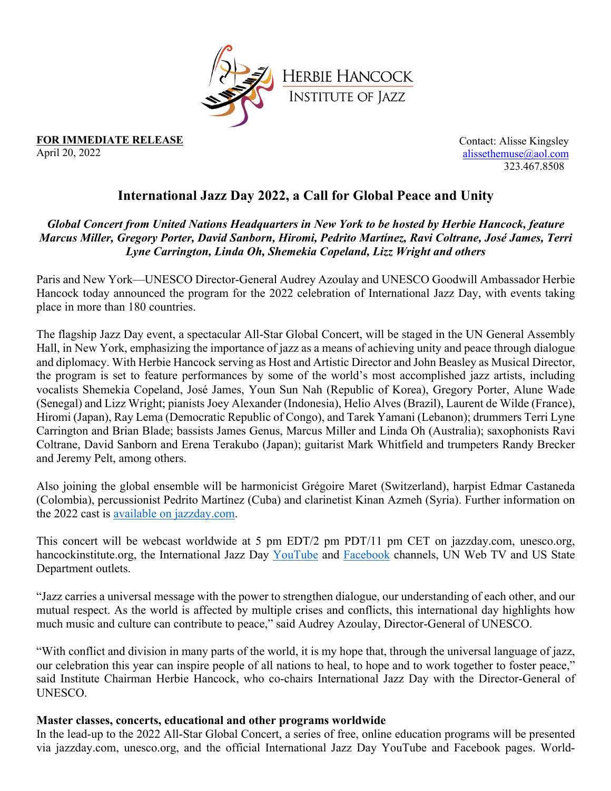

**FOR IMMEDIATE RELEASE** April 20, 2022

Contact: Alisse Kingsley alissethemuse@aol.com 323.467.8508

# **International Jazz Day 2022, a Call for Global Peace and Unity**

### *Global Concert from United Nations Headquarters in New York to be hosted by Herbie Hancock, feature Marcus Miller, Gregory Porter, David Sanborn, Hiromi, Pedrito Martínez, Ravi Coltrane, José James, Terri Lyne Carrington, Linda Oh, Shemekia Copeland, Lizz Wright and others*

Paris and New York––UNESCO Director-General Audrey Azoulay and UNESCO Goodwill Ambassador Herbie Hancock today announced the program for the 2022 celebration of International Jazz Day, with events taking place in more than 180 countries.

The flagship Jazz Day event, a spectacular All-Star Global Concert, will be staged in the UN General Assembly Hall, in New York, emphasizing the importance of jazz as a means of achieving unity and peace through dialogue and diplomacy. With Herbie Hancock serving as Host and Artistic Director and John Beasley as Musical Director, the program is set to feature performances by some of the world's most accomplished jazz artists, including vocalists Shemekia Copeland, José James, Youn Sun Nah (Republic of Korea), Gregory Porter, Alune Wade (Senegal) and Lizz Wright; pianists Joey Alexander (Indonesia), Helio Alves (Brazil), Laurent de Wilde (France), Hiromi (Japan), Ray Lema (Democratic Republic of Congo), and Tarek Yamani (Lebanon); drummers Terri Lyne Carrington and Brian Blade; bassists James Genus, Marcus Miller and Linda Oh (Australia); saxophonists Ravi Coltrane, David Sanborn and Erena Terakubo (Japan); guitarist Mark Whitfield and trumpeters Randy Brecker and Jeremy Pelt, among others.

Also joining the global ensemble will be harmonicist Grégoire Maret (Switzerland), harpist Edmar Castaneda (Colombia), percussionist Pedrito Martínez (Cuba) and clarinetist Kinan Azmeh (Syria). Further information on the 2022 cast is available on jazzday.com.

This concert will be webcast worldwide at 5 pm EDT/2 pm PDT/11 pm CET on jazzday.com, unesco.org, hancockinstitute.org, the International Jazz Day YouTube and Facebook channels, UN Web TV and US State Department outlets.

"Jazz carries a universal message with the power to strengthen dialogue, our understanding of each other, and our mutual respect. As the world is affected by multiple crises and conflicts, this international day highlights how much music and culture can contribute to peace," said Audrey Azoulay, Director-General of UNESCO.

"With conflict and division in many parts of the world, it is my hope that, through the universal language of jazz, our celebration this year can inspire people of all nations to heal, to hope and to work together to foster peace," said Institute Chairman Herbie Hancock, who co-chairs International Jazz Day with the Director-General of UNESCO.

#### **Master classes, concerts, educational and other programs worldwide**

In the lead-up to the 2022 All-Star Global Concert, a series of free, online education programs will be presented via jazzday.com, unesco.org, and the official International Jazz Day YouTube and Facebook pages. World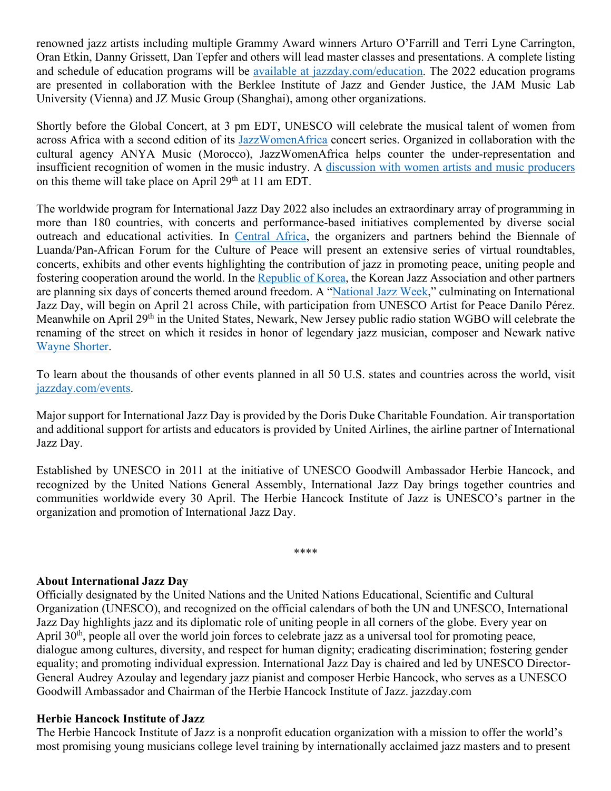renowned jazz artists including multiple Grammy Award winners Arturo O'Farrill and Terri Lyne Carrington, Oran Etkin, Danny Grissett, Dan Tepfer and others will lead master classes and presentations. A complete listing and schedule of education programs will be available at jazzday.com/education. The 2022 education programs are presented in collaboration with the Berklee Institute of Jazz and Gender Justice, the JAM Music Lab University (Vienna) and JZ Music Group (Shanghai), among other organizations.

Shortly before the Global Concert, at 3 pm EDT, UNESCO will celebrate the musical talent of women from across Africa with a second edition of its JazzWomenAfrica concert series. Organized in collaboration with the cultural agency ANYA Music (Morocco), JazzWomenAfrica helps counter the under-representation and insufficient recognition of women in the music industry. A discussion with women artists and music producers on this theme will take place on April 29<sup>th</sup> at 11 am EDT.

The worldwide program for International Jazz Day 2022 also includes an extraordinary array of programming in more than 180 countries, with concerts and performance-based initiatives complemented by diverse social outreach and educational activities. In Central Africa, the organizers and partners behind the Biennale of Luanda/Pan-African Forum for the Culture of Peace will present an extensive series of virtual roundtables, concerts, exhibits and other events highlighting the contribution of jazz in promoting peace, uniting people and fostering cooperation around the world. In the Republic of Korea, the Korean Jazz Association and other partners are planning six days of concerts themed around freedom. A "National Jazz Week," culminating on International Jazz Day, will begin on April 21 across Chile, with participation from UNESCO Artist for Peace Danilo Pérez. Meanwhile on April 29<sup>th</sup> in the United States, Newark, New Jersey public radio station WGBO will celebrate the renaming of the street on which it resides in honor of legendary jazz musician, composer and Newark native Wayne Shorter.

To learn about the thousands of other events planned in all 50 U.S. states and countries across the world, visit jazzday.com/events.

Major support for International Jazz Day is provided by the Doris Duke Charitable Foundation. Air transportation and additional support for artists and educators is provided by United Airlines, the airline partner of International Jazz Day.

Established by UNESCO in 2011 at the initiative of UNESCO Goodwill Ambassador Herbie Hancock, and recognized by the United Nations General Assembly, International Jazz Day brings together countries and communities worldwide every 30 April. The Herbie Hancock Institute of Jazz is UNESCO's partner in the organization and promotion of International Jazz Day.

\*\*\*\*

### **About International Jazz Day**

Officially designated by the United Nations and the United Nations Educational, Scientific and Cultural Organization (UNESCO), and recognized on the official calendars of both the UN and UNESCO, International Jazz Day highlights jazz and its diplomatic role of uniting people in all corners of the globe. Every year on April 30<sup>th</sup>, people all over the world join forces to celebrate jazz as a universal tool for promoting peace, dialogue among cultures, diversity, and respect for human dignity; eradicating discrimination; fostering gender equality; and promoting individual expression. International Jazz Day is chaired and led by UNESCO Director-General Audrey Azoulay and legendary jazz pianist and composer Herbie Hancock, who serves as a UNESCO Goodwill Ambassador and Chairman of the Herbie Hancock Institute of Jazz. jazzday.com

### **Herbie Hancock Institute of Jazz**

The Herbie Hancock Institute of Jazz is a nonprofit education organization with a mission to offer the world's most promising young musicians college level training by internationally acclaimed jazz masters and to present